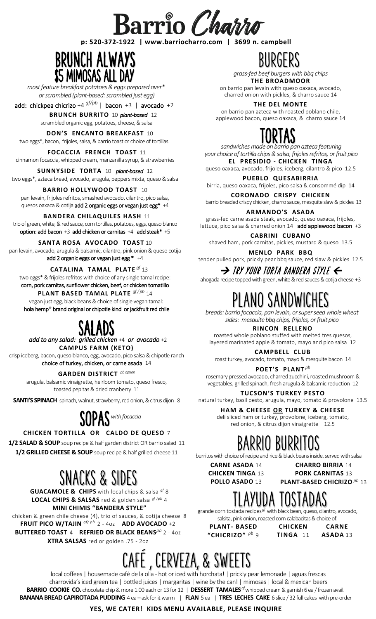

#### **p: 520-372-1922 | www.barriocharro.com | 3699 n. campbell**



*most feature breakfast potatoes & eggs prepared over\* or scrambled (plant-based: scrambled just egg)* וך<br><sub>מז</sub> as<br>ok

add: chickpea chicrizo +4 *gf/pb* | bacon +3 | avocado +2

 **BRUNCH BURRITO** 10 *plant-based* 12 scrambled organic egg, potatoes, cheese, & salsa

 **DON'S ENCANTO BREAKFAST**10 two eggs\*, bacon, frijoles, salsa,& barrio toast or choice of tortillas

#### **FOCACCIA FRENCH TOAST** 11

cinnamon focaccia, whipped cream, manzanilla syrup, & strawberries

#### **SUNNYSIDE TORTA** 10 *plant-based* 12

two eggs\*, azteca bread, avocado, arugula, peppers mixta, queso & salsa

### **BARRIO HOLLYWOOD TOAST** 10

pan levain, frijoles refritos, smashed avocado, cilantro, pico salsa, quesos oaxaca & cotija add 2 organic eggs or vegan just egg\* +4

#### **BANDERA CHILAQUILES HASH** 11

trio of green, white, & red sauce, corn tortillas, potatoes, eggs, queso blanco option: add bacon +3 add chicken or carnitas +4 add steak\* +5

#### **SANTA ROSA AVOCADO TOAST** 10

pan levain, avocado, arugula & balsamic, cilantro, pink onion & queso cotija add 2 organic eggs or vegan just egg  $* +4$ 

**CATALINA TAMAL PLATE** *gf* 13

two eggs\* & frijoles refritos with choice of any single tamal recipe: corn, pork carnitas, sunflower chicken, beef, or chicken tomatillo

**PLANT BASED TAMAL PLATE** *gf/ pb* 14 vegan just egg, black beans & choice of single vegan tamal: hola hemp® brand original or chipotle kind or jackfruit red chile

*add to any salad: grilled chicken* +4 *or avocado* +2 SALADS **CAMPUS FARM (KETO)**

crisp iceberg, bacon, queso blanco, egg, avocado, pico salsa & chipotle ranch choice of turkey, chicken, or carne asada 14

#### **GARDEN DISTRICT** *pb option*

arugula, balsamic vinaigrette, heirloom tomato, queso fresco, toasted pepitas & dried cranberry 11

**SANTI'S SPINACH** spinach, walnut, strawberry, red onion, & citrus dijon 8



### **CHICKEN TORTILLA OR CALDO DE QUESO** 7

**1/2 SALAD & SOUP** soup recipe & half garden district OR barrio salad 11 **1/2 GRILLED CHEESE & SOUP** soup recipe & half grilled cheese 11

## SNACKS & SIDES

**GUACAMOLE & CHIPS** with local chips & salsa *gf* 8 **LOCAL CHIPS & SALSAS** red & golden salsa *gf /pb* 4 **MINI CHIMIS "BANDERA STYLE"**

chicken & green chile cheese (4), trio of sauces, & cotija cheese 8 **FRUIT PICO W/TAJIN** *gf/ pb* 2 - 4oz **ADD AVOCADO** +2 **BUTTERED TOAST** 4 **REFRIED OR BLACK BEANS***pb* 2 - 4oz **XTRA SALSAS** red or golden .75 - 2oz

CAFÉ , CERVEZA, & SWEETS

local coffees | housemade café de la olla - hot or iced with horchata! | prickly pear lemonade | aguas frescas charrovida's iced green tea | bottled juices | margaritas | wine by the can! | mimosas | local & mexican beers **BARRIO COOKIE CO.** chocolate chip & more 1.00 each or 13 for 12 | **DESSERT TAMALES** *gf* whipped cream & garnish 6 ea / frozen avail. **BANANA BREAD CAPIROTADA PUDDING** 4 ea – ask for it warm | **FLAN** 5 ea| **TRES LECHES CAKE** 6 slice / 32 full cakes with pre-order

#### **YES, WE CATER! KIDS MENU AVAILABLE, PLEASE INQUIRE**

BURGERS

*grass-fed beef burgers with bbq chips* **THE BROADMOOR**

on barrio pan levain with queso oaxaca, avocado, charred onion with pickles, & charro sauce 14

**THE DEL MONTE**

on barrio pan azteca with roasted poblano chile, applewood bacon, queso oaxaca, & charro sauce 14

*sandwiches made on barrio pan azteca featuring* TORTAS *your choice of tortilla chips & salsa, frijoles refritos, or fruit pico*

**EL PRESIDIO - CHICKEN TINGA**

queso oaxaca, avocado, frijoles, iceberg, cilantro & pico 12.5

#### **PUEBLO QUESABIRRIA**

birria, queso oaxaca, frijoles, pico salsa & consommé dip 14

**CORONADO CRISPY CHICKEN**

barrio breaded crispy chicken, charro sauce, mesquite slaw& pickles 13 **ARMANDO'S ASADA** grass-fed carne asada steak, avocado, queso oaxaca, frijoles,

lettuce, pico salsa & charred onion 14 add applewood bacon +3

**CABRINI CUBANO** shaved ham, pork carnitas, pickles, mustard & queso 13.5

**MENLO PARK BBQ** tender pulled pork, prickly pear bbq sauce, red slaw & pickles 12.5

 $\rightarrow$  try your torta bandera style  $\Leftarrow$ 

ahogada recipe topped with green, white & red sauces & cotija cheese  $+3$ 

## LANO SANDWICHE

*breads: barrio focaccia, pan levain, or super seed whole wheat sides: mesquite bbq chips, frijoles, or fruit pico*

**RINCON RELLENO**

roasted whole poblano stuffed with melted tres quesos, layered marinated apple & tomato, mayo and pico salsa 12

**CAMPBELL CLUB**

roast turkey, avocado, tomato, mayo & mesquite bacon 14

**POET'S PLANT** *pb*

rosemary pressed avocado, charred zucchini, roasted mushroom & vegetables, grilled spinach, fresh arugula & balsamic reduction 12

**TUCSON'S TURKEY PESTO**  natural turkey, basil pesto, arugula, mayo, tomato & provolone 13.5

**HAM & CHEESE OR TURKEY & CHEESE**

deli sliced ham or turkey, provolone, iceberg, tomato, red onion, & citrus dijon vinaigrette 12.5

# BARRIO BURRITO

burritos with choice of recipe and rice & black beans inside. served with salsa

**CHICKEN TINGA** 13

**CARNE ASADA** 14 **CHARRO BIRRIA** 14 **PORK CARNITAS** 13 **PLANT-BASED CHICRIZO** *pb* 13

### TLAYUDA TOSTADAS

grande corn tostada recipes *gf* with black bean, queso, cilantro, avocado,

**PLANT- BASED CHICKEN TING** 

| KEN  | <b>CARNE</b> |
|------|--------------|
| A 11 | ASADA 13     |

salsita, pink onion, roasted corn calabacitas & choice of:

**"CHICRIZO"** *pb* 9

**POLLO ASADO** 13